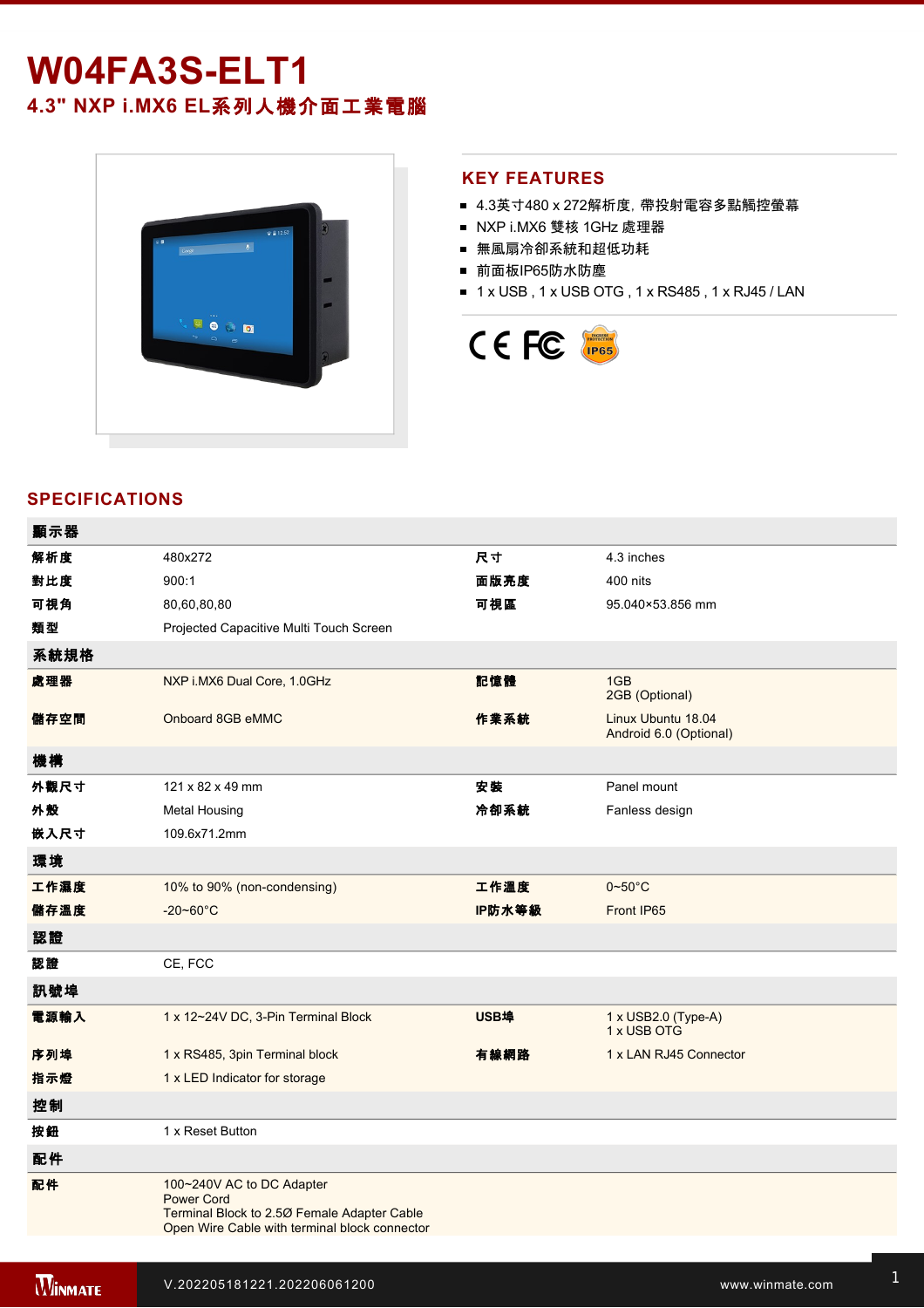# **W04FA3SELT1 4.3" NXP i.MX6 EL**系列人機介面工業電腦



#### **KEY FEATURES**

- 4.3英寸480 x 272解析度, 帶投射電容多點觸控螢幕
- NXP i.MX6 雙核 1GHz 處理器
- 無風扇冷卻系統和超低功耗
- 前面板IP65防水防塵
- 1 x USB, 1 x USB OTG, 1 x RS485, 1 x RJ45 / LAN



## **SPECIFICATIONS**

| 顯示器  |                                                                                                                                                |        |                                              |
|------|------------------------------------------------------------------------------------------------------------------------------------------------|--------|----------------------------------------------|
| 解析度  | 480x272                                                                                                                                        | 尺寸     | 4.3 inches                                   |
| 對比度  | 900:1                                                                                                                                          | 面版亮度   | 400 nits                                     |
| 可視角  | 80,60,80,80                                                                                                                                    | 可視區    | 95.040×53.856 mm                             |
| 類型   | Projected Capacitive Multi Touch Screen                                                                                                        |        |                                              |
| 系統規格 |                                                                                                                                                |        |                                              |
| 處理器  | NXP i.MX6 Dual Core, 1.0GHz                                                                                                                    | 記憶體    | 1GB<br>2GB (Optional)                        |
| 儲存空間 | Onboard 8GB eMMC                                                                                                                               | 作業系統   | Linux Ubuntu 18.04<br>Android 6.0 (Optional) |
| 機構   |                                                                                                                                                |        |                                              |
| 外觀尺寸 | 121 x 82 x 49 mm                                                                                                                               | 安装     | Panel mount                                  |
| 外殼   | <b>Metal Housing</b>                                                                                                                           | 冷卻系統   | Fanless design                               |
| 嵌入尺寸 | 109.6x71.2mm                                                                                                                                   |        |                                              |
| 環境   |                                                                                                                                                |        |                                              |
| 工作濕度 | 10% to 90% (non-condensing)                                                                                                                    | 工作溫度   | $0 - 50$ °C                                  |
| 儲存溫度 | $-20 - 60^{\circ}$ C                                                                                                                           | IP防水等級 | Front IP65                                   |
| 認證   |                                                                                                                                                |        |                                              |
| 認證   | CE, FCC                                                                                                                                        |        |                                              |
| 訊號埠  |                                                                                                                                                |        |                                              |
| 電源輸入 | 1 x 12~24V DC, 3-Pin Terminal Block                                                                                                            | USB埠   | 1 x USB2.0 (Type-A)<br>1 x USB OTG           |
| 序列埠  | 1 x RS485, 3pin Terminal block                                                                                                                 | 有線網路   | 1 x LAN RJ45 Connector                       |
| 指示燈  | 1 x LED Indicator for storage                                                                                                                  |        |                                              |
| 控制   |                                                                                                                                                |        |                                              |
| 按鈕   | 1 x Reset Button                                                                                                                               |        |                                              |
| 配件   |                                                                                                                                                |        |                                              |
| 配件   | 100~240V AC to DC Adapter<br><b>Power Cord</b><br>Terminal Block to 2.50 Female Adapter Cable<br>Open Wire Cable with terminal block connector |        |                                              |

 $12\%$  is ordered 12V with isolation, 3Pin Terminal Block  $\bar{z}$  and  $\bar{z}$  such that  $\bar{z}$